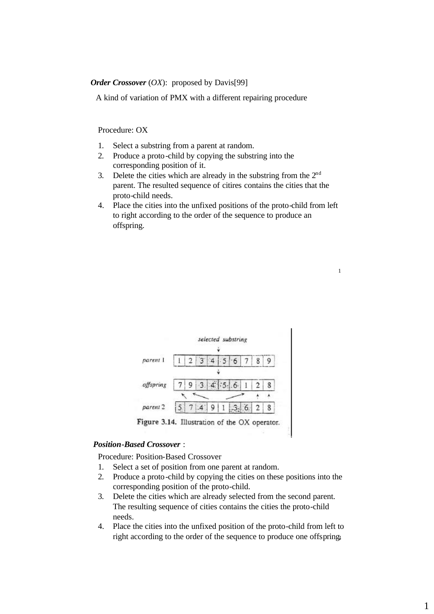# *Order Crossover* (*OX*): proposed by Davis[99]

A kind of variation of PMX with a different repairing procedure

Procedure: OX

- 1. Select a substring from a parent at random.
- 2. Produce a proto-child by copying the substring into the corresponding position of it.
- 3. Delete the cities which are already in the substring from the  $2<sup>nd</sup>$ parent. The resulted sequence of citires contains the cities that the proto-child needs.
- 4. Place the cities into the unfixed positions of the proto-child from left to right according to the order of the sequence to produce an offspring.

1

|           | selected substring                            |         |  |  |   |
|-----------|-----------------------------------------------|---------|--|--|---|
| parent 1  |                                               |         |  |  |   |
|           |                                               |         |  |  |   |
| offspring |                                               | 3.4.5.6 |  |  | 8 |
|           |                                               |         |  |  |   |
| parent 2  |                                               |         |  |  | 8 |
|           | Figure 3.14. Illustration of the OX operator. |         |  |  |   |

#### *Position-Based Crossover* :

Procedure: Position-Based Crossover

- 1. Select a set of position from one parent at random.
- 2. Produce a proto-child by copying the cities on these positions into the corresponding position of the proto-child.
- 3. Delete the cities which are already selected from the second parent. The resulting sequence of cities contains the cities the proto-child needs.
- 2 right according to the order of the sequence to produce one offspring.4. Place the cities into the unfixed position of the proto-child from left to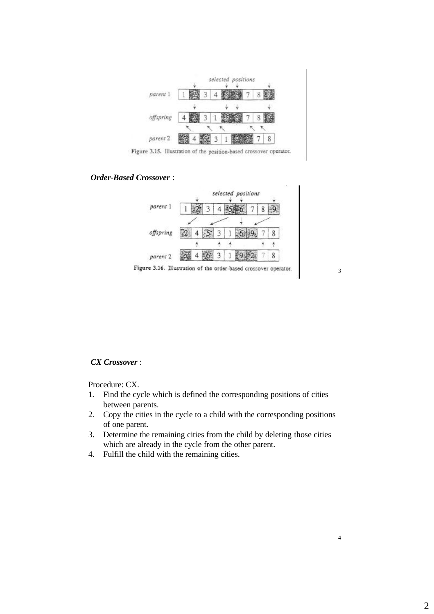

Figure 3.15. Illustration of the position-based crossover operator.

## *Order-Based Crossover* :



Figure 3.16. Illustration of the order-based crossover operator.

3

4

#### *CX Crossover* :

Procedure: CX.

- 1. Find the cycle which is defined the corresponding positions of cities between parents.
- 2. Copy the cities in the cycle to a child with the corresponding positions of one parent.
- 3. Determine the remaining cities from the child by deleting those cities which are already in the cycle from the other parent.
- 4. Fulfill the child with the remaining cities.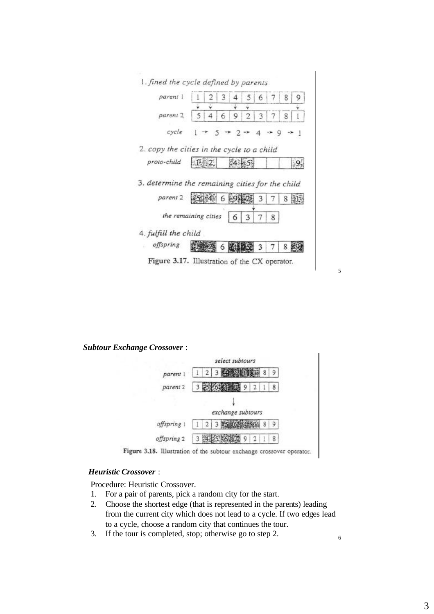

*Subtour Exchange Crossover* :



Figure 3.18. Illustration of the subtour exchange crossover operator.

# *Heuristic Crossover* :

Procedure: Heuristic Crossover.

- 1. For a pair of parents, pick a random city for the start.
- 2. Choose the shortest edge (that is represented in the parents) leading from the current city which does not lead to a cycle. If two edges lead to a cycle, choose a random city that continues the tour.
- 3. If the tour is completed, stop; otherwise go to step 2.

5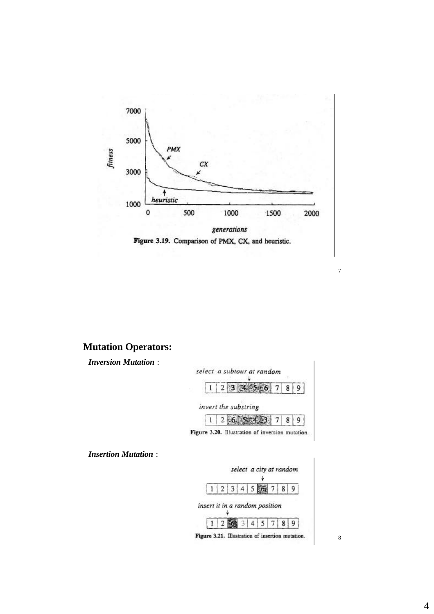



# **Mutation Operators:**

*Inversion Mutation* :



*Insertion Mutation* :



8

7